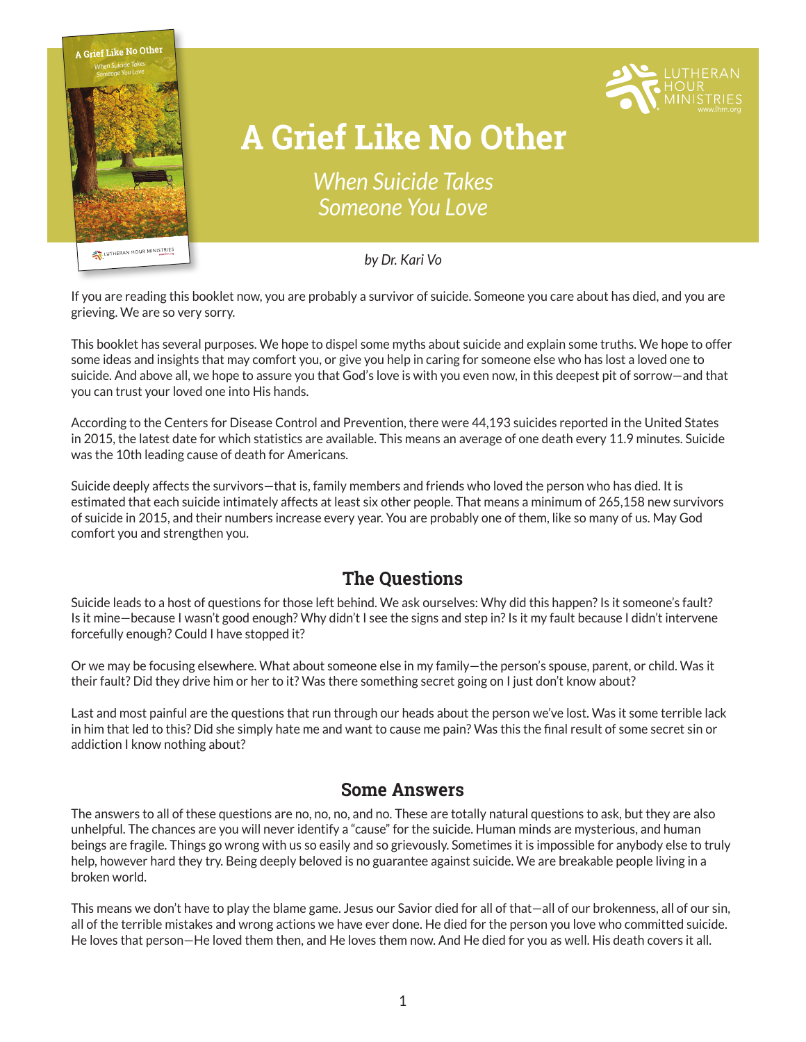

traumatic experience. Swirling around the event are all kinds of questions concerning motivation, state of mind, what could have been done differently, an<sup>d</sup> what does eternity hold for the person now gone. In this booklet, care is given to offer perspective on thorny queries like these and give readers an assurance that in suicide—though the loss be grea<sup>t</sup>

God who understands the pain we're experiencing.

For free online courses, and more information covering five faith-strengthening categories,



# **A Grief Like No Other**

*When Suicide Takes Someone You Love*

*by Dr. Kari Vo*

If you are reading this booklet now, you are probably a survivor of suicide. Someone you care about has died, and you are grieving. We are so very sorry.

This booklet has several purposes. We hope to dispel some myths about suicide and explain some truths. We hope to offer some ideas and insights that may comfort you, or give you help in caring for someone else who has lost a loved one to suicide. And above all, we hope to assure you that God's love is with you even now, in this deepest pit of sorrow—and that you can trust your loved one into His hands.

According to the Centers for Disease Control and Prevention, there were 44,193 suicides reported in the United States in 2015, the latest date for which statistics are available. This means an average of one death every 11.9 minutes. Suicide was the 10th leading cause of death for Americans.

Suicide deeply affects the survivors—that is, family members and friends who loved the person who has died. It is estimated that each suicide intimately affects at least six other people. That means a minimum of 265,158 new survivors of suicide in 2015, and their numbers increase every year. You are probably one of them, like so many of us. May God comfort you and strengthen you.

### **The Questions**

Suicide leads to a host of questions for those left behind. We ask ourselves: Why did this happen? Is it someone's fault? Is it mine—because I wasn't good enough? Why didn't I see the signs and step in? Is it my fault because I didn't intervene forcefully enough? Could I have stopped it?

Or we may be focusing elsewhere. What about someone else in my family—the person's spouse, parent, or child. Was it their fault? Did they drive him or her to it? Was there something secret going on I just don't know about?

Last and most painful are the questions that run through our heads about the person we've lost. Was it some terrible lack in him that led to this? Did she simply hate me and want to cause me pain? Was this the final result of some secret sin or addiction I know nothing about?

### **Some Answers**

The answers to all of these questions are no, no, no, and no. These are totally natural questions to ask, but they are also unhelpful. The chances are you will never identify a "cause" for the suicide. Human minds are mysterious, and human beings are fragile. Things go wrong with us so easily and so grievously. Sometimes it is impossible for anybody else to truly help, however hard they try. Being deeply beloved is no guarantee against suicide. We are breakable people living in a broken world.

This means we don't have to play the blame game. Jesus our Savior died for all of that—all of our brokenness, all of our sin, all of the terrible mistakes and wrong actions we have ever done. He died for the person you love who committed suicide. He loves that person—He loved them then, and He loves them now. And He died for you as well. His death covers it all.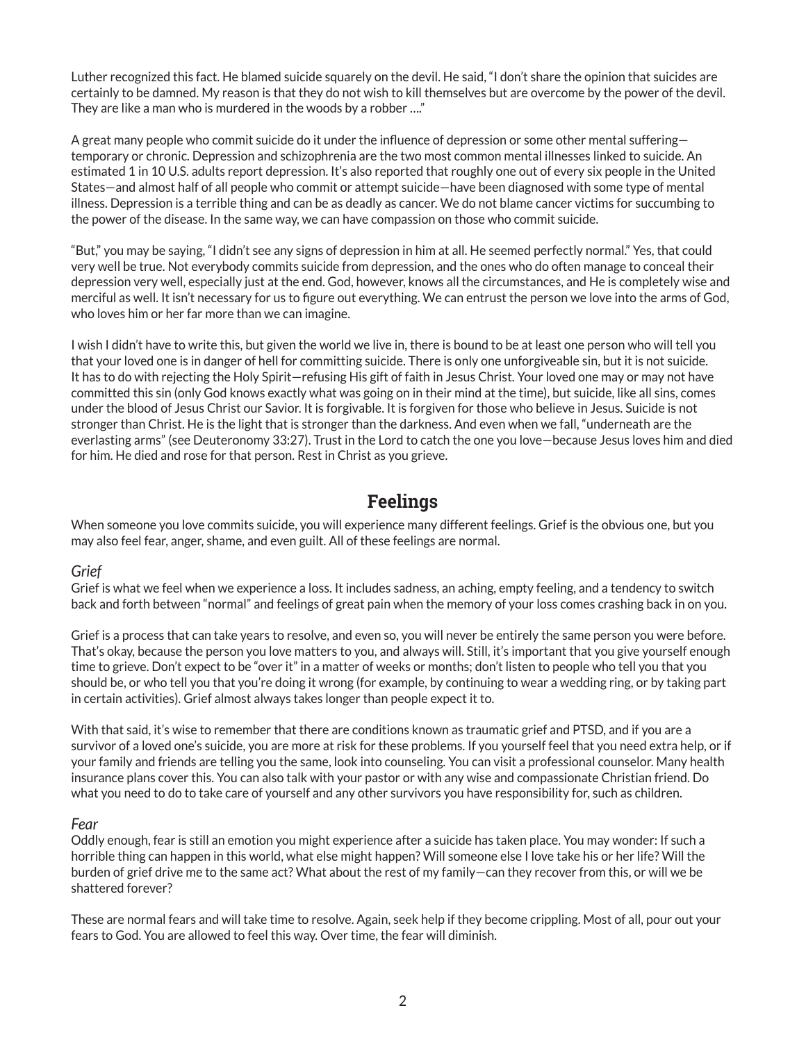Luther recognized this fact. He blamed suicide squarely on the devil. He said, "I don't share the opinion that suicides are certainly to be damned. My reason is that they do not wish to kill themselves but are overcome by the power of the devil. They are like a man who is murdered in the woods by a robber …."

A great many people who commit suicide do it under the influence of depression or some other mental suffering temporary or chronic. Depression and schizophrenia are the two most common mental illnesses linked to suicide. An estimated 1 in 10 U.S. adults report depression. It's also reported that roughly one out of every six people in the United States—and almost half of all people who commit or attempt suicide—have been diagnosed with some type of mental illness. Depression is a terrible thing and can be as deadly as cancer. We do not blame cancer victims for succumbing to the power of the disease. In the same way, we can have compassion on those who commit suicide.

"But," you may be saying, "I didn't see any signs of depression in him at all. He seemed perfectly normal." Yes, that could very well be true. Not everybody commits suicide from depression, and the ones who do often manage to conceal their depression very well, especially just at the end. God, however, knows all the circumstances, and He is completely wise and merciful as well. It isn't necessary for us to figure out everything. We can entrust the person we love into the arms of God, who loves him or her far more than we can imagine.

I wish I didn't have to write this, but given the world we live in, there is bound to be at least one person who will tell you that your loved one is in danger of hell for committing suicide. There is only one unforgiveable sin, but it is not suicide. It has to do with rejecting the Holy Spirit—refusing His gift of faith in Jesus Christ. Your loved one may or may not have committed this sin (only God knows exactly what was going on in their mind at the time), but suicide, like all sins, comes under the blood of Jesus Christ our Savior. It is forgivable. It is forgiven for those who believe in Jesus. Suicide is not stronger than Christ. He is the light that is stronger than the darkness. And even when we fall, "underneath are the everlasting arms" (see Deuteronomy 33:27). Trust in the Lord to catch the one you love—because Jesus loves him and died for him. He died and rose for that person. Rest in Christ as you grieve.

# **Feelings**

When someone you love commits suicide, you will experience many different feelings. Grief is the obvious one, but you may also feel fear, anger, shame, and even guilt. All of these feelings are normal.

#### *Grief*

Grief is what we feel when we experience a loss. It includes sadness, an aching, empty feeling, and a tendency to switch back and forth between "normal" and feelings of great pain when the memory of your loss comes crashing back in on you.

Grief is a process that can take years to resolve, and even so, you will never be entirely the same person you were before. That's okay, because the person you love matters to you, and always will. Still, it's important that you give yourself enough time to grieve. Don't expect to be "over it" in a matter of weeks or months; don't listen to people who tell you that you should be, or who tell you that you're doing it wrong (for example, by continuing to wear a wedding ring, or by taking part in certain activities). Grief almost always takes longer than people expect it to.

With that said, it's wise to remember that there are conditions known as traumatic grief and PTSD, and if you are a survivor of a loved one's suicide, you are more at risk for these problems. If you yourself feel that you need extra help, or if your family and friends are telling you the same, look into counseling. You can visit a professional counselor. Many health insurance plans cover this. You can also talk with your pastor or with any wise and compassionate Christian friend. Do what you need to do to take care of yourself and any other survivors you have responsibility for, such as children.

#### *Fear*

Oddly enough, fear is still an emotion you might experience after a suicide has taken place. You may wonder: If such a horrible thing can happen in this world, what else might happen? Will someone else I love take his or her life? Will the burden of grief drive me to the same act? What about the rest of my family—can they recover from this, or will we be shattered forever?

These are normal fears and will take time to resolve. Again, seek help if they become crippling. Most of all, pour out your fears to God. You are allowed to feel this way. Over time, the fear will diminish.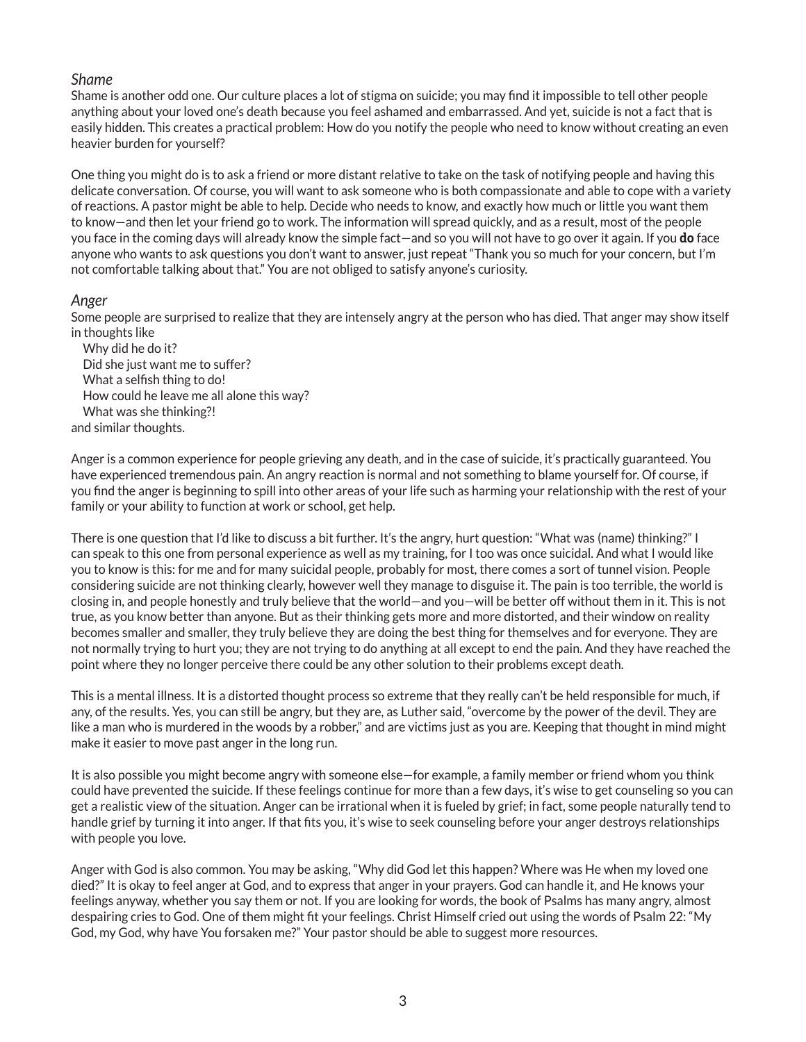#### *Shame*

Shame is another odd one. Our culture places a lot of stigma on suicide; you may find it impossible to tell other people anything about your loved one's death because you feel ashamed and embarrassed. And yet, suicide is not a fact that is easily hidden. This creates a practical problem: How do you notify the people who need to know without creating an even heavier burden for yourself?

One thing you might do is to ask a friend or more distant relative to take on the task of notifying people and having this delicate conversation. Of course, you will want to ask someone who is both compassionate and able to cope with a variety of reactions. A pastor might be able to help. Decide who needs to know, and exactly how much or little you want them to know—and then let your friend go to work. The information will spread quickly, and as a result, most of the people you face in the coming days will already know the simple fact—and so you will not have to go over it again. If you **do** face anyone who wants to ask questions you don't want to answer, just repeat "Thank you so much for your concern, but I'm not comfortable talking about that." You are not obliged to satisfy anyone's curiosity.

#### *Anger*

Some people are surprised to realize that they are intensely angry at the person who has died. That anger may show itself in thoughts like

Why did he do it? Did she just want me to suffer? What a selfish thing to do! How could he leave me all alone this way? What was she thinking?! and similar thoughts.

Anger is a common experience for people grieving any death, and in the case of suicide, it's practically guaranteed. You have experienced tremendous pain. An angry reaction is normal and not something to blame yourself for. Of course, if you find the anger is beginning to spill into other areas of your life such as harming your relationship with the rest of your family or your ability to function at work or school, get help.

There is one question that I'd like to discuss a bit further. It's the angry, hurt question: "What was (name) thinking?" I can speak to this one from personal experience as well as my training, for I too was once suicidal. And what I would like you to know is this: for me and for many suicidal people, probably for most, there comes a sort of tunnel vision. People considering suicide are not thinking clearly, however well they manage to disguise it. The pain is too terrible, the world is closing in, and people honestly and truly believe that the world—and you—will be better off without them in it. This is not true, as you know better than anyone. But as their thinking gets more and more distorted, and their window on reality becomes smaller and smaller, they truly believe they are doing the best thing for themselves and for everyone. They are not normally trying to hurt you; they are not trying to do anything at all except to end the pain. And they have reached the point where they no longer perceive there could be any other solution to their problems except death.

This is a mental illness. It is a distorted thought process so extreme that they really can't be held responsible for much, if any, of the results. Yes, you can still be angry, but they are, as Luther said, "overcome by the power of the devil. They are like a man who is murdered in the woods by a robber," and are victims just as you are. Keeping that thought in mind might make it easier to move past anger in the long run.

It is also possible you might become angry with someone else—for example, a family member or friend whom you think could have prevented the suicide. If these feelings continue for more than a few days, it's wise to get counseling so you can get a realistic view of the situation. Anger can be irrational when it is fueled by grief; in fact, some people naturally tend to handle grief by turning it into anger. If that fits you, it's wise to seek counseling before your anger destroys relationships with people you love.

Anger with God is also common. You may be asking, "Why did God let this happen? Where was He when my loved one died?" It is okay to feel anger at God, and to express that anger in your prayers. God can handle it, and He knows your feelings anyway, whether you say them or not. If you are looking for words, the book of Psalms has many angry, almost despairing cries to God. One of them might fit your feelings. Christ Himself cried out using the words of Psalm 22: "My God, my God, why have You forsaken me?" Your pastor should be able to suggest more resources.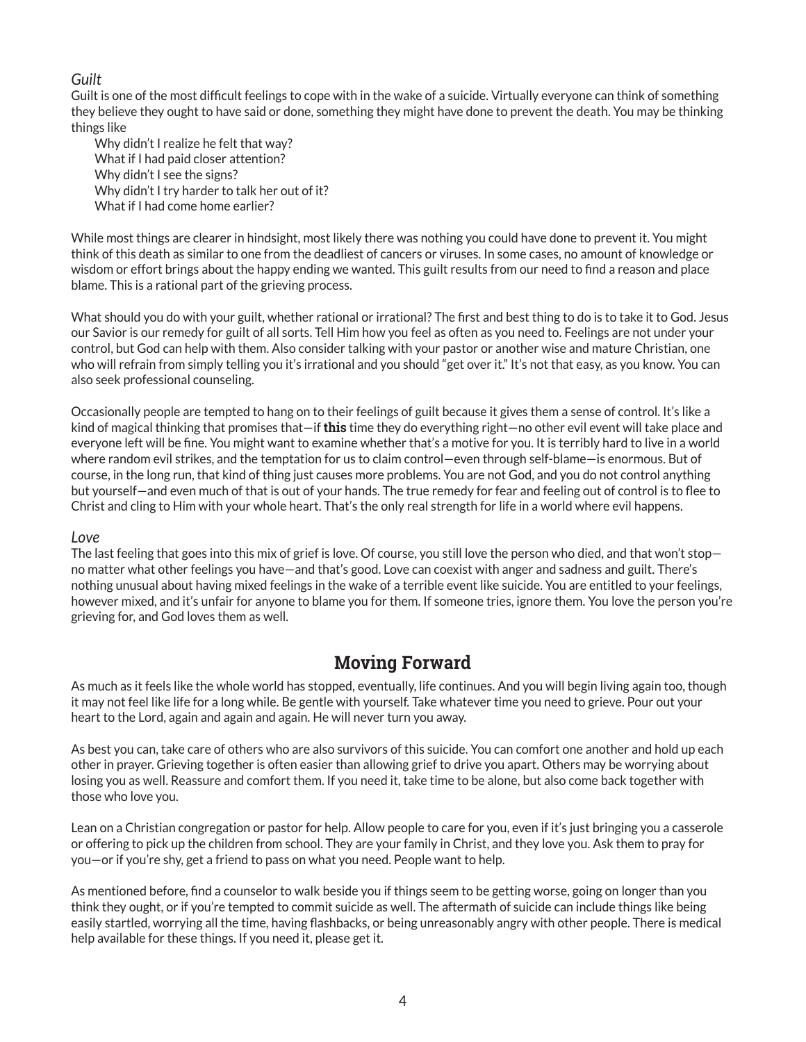### *Guilt*

Guilt is one of the most difficult feelings to cope with in the wake of a suicide. Virtually everyone can think of something they believe they ought to have said or done, something they might have done to prevent the death. You may be thinking things like

Why didn't I realize he felt that way? What if I had paid closer attention? Why didn't I see the signs? Why didn't I try harder to talk her out of it? What if I had come home earlier?

While most things are clearer in hindsight, most likely there was nothing you could have done to prevent it. You might think of this death as similar to one from the deadliest of cancers or viruses. In some cases, no amount of knowledge or wisdom or effort brings about the happy ending we wanted. This guilt results from our need to find a reason and place blame. This is a rational part of the grieving process.

What should you do with your guilt, whether rational or irrational? The first and best thing to do is to take it to God. Jesus our Savior is our remedy for guilt of all sorts. Tell Him how you feel as often as you need to. Feelings are not under your control, but God can help with them. Also consider talking with your pastor or another wise and mature Christian, one who will refrain from simply telling you it's irrational and you should "get over it." It's not that easy, as you know. You can also seek professional counseling.

Occasionally people are tempted to hang on to their feelings of guilt because it gives them a sense of control. It's like a kind of magical thinking that promises that—if **this** time they do everything right—no other evil event will take place and everyone left will be fine. You might want to examine whether that's a motive for you. It is terribly hard to live in a world where random evil strikes, and the temptation for us to claim control—even through self-blame—is enormous. But of course, in the long run, that kind of thing just causes more problems. You are not God, and you do not control anything but yourself—and even much of that is out of your hands. The true remedy for fear and feeling out of control is to flee to Christ and cling to Him with your whole heart. That's the only real strength for life in a world where evil happens.

#### *Love*

The last feeling that goes into this mix of grief is love. Of course, you still love the person who died, and that won't stop no matter what other feelings you have—and that's good. Love can coexist with anger and sadness and guilt. There's nothing unusual about having mixed feelings in the wake of a terrible event like suicide. You are entitled to your feelings, however mixed, and it's unfair for anyone to blame you for them. If someone tries, ignore them. You love the person you're grieving for, and God loves them as well.

### **Moving Forward**

As much as it feels like the whole world has stopped, eventually, life continues. And you will begin living again too, though it may not feel like life for a long while. Be gentle with yourself. Take whatever time you need to grieve. Pour out your heart to the Lord, again and again and again. He will never turn you away.

As best you can, take care of others who are also survivors of this suicide. You can comfort one another and hold up each other in prayer. Grieving together is often easier than allowing grief to drive you apart. Others may be worrying about losing you as well. Reassure and comfort them. If you need it, take time to be alone, but also come back together with those who love you.

Lean on a Christian congregation or pastor for help. Allow people to care for you, even if it's just bringing you a casserole or offering to pick up the children from school. They are your family in Christ, and they love you. Ask them to pray for you—or if you're shy, get a friend to pass on what you need. People want to help.

As mentioned before, find a counselor to walk beside you if things seem to be getting worse, going on longer than you think they ought, or if you're tempted to commit suicide as well. The aftermath of suicide can include things like being easily startled, worrying all the time, having flashbacks, or being unreasonably angry with other people. There is medical help available for these things. If you need it, please get it.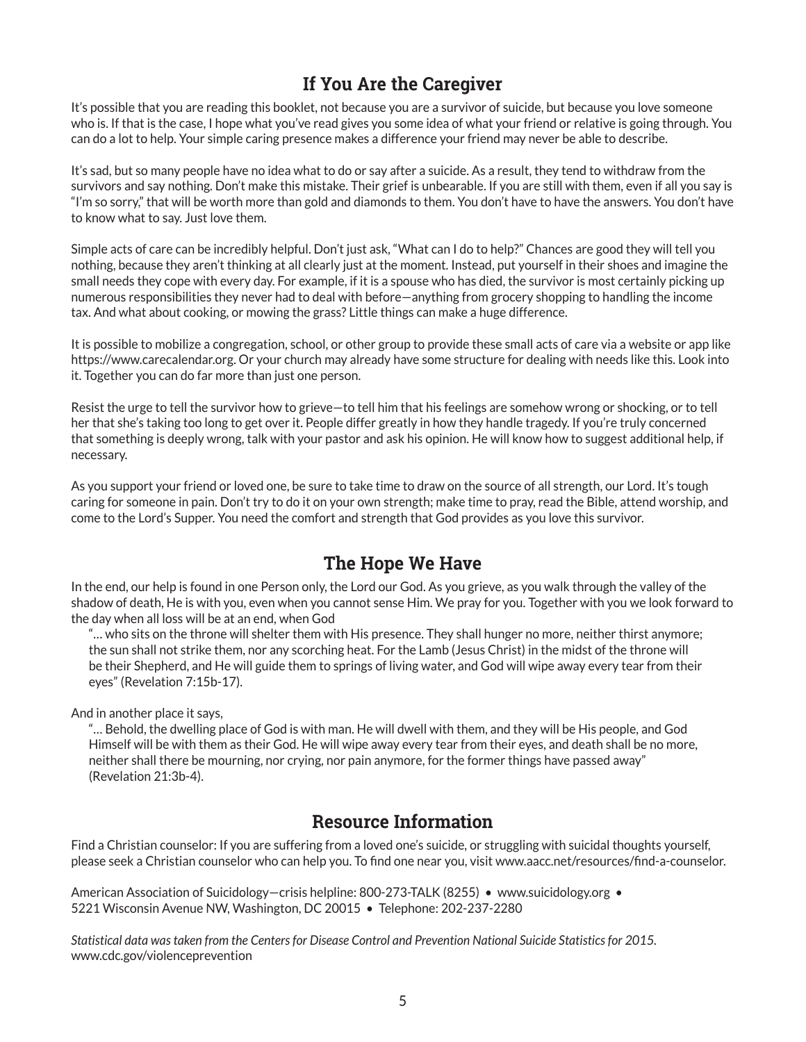## **If You Are the Caregiver**

It's possible that you are reading this booklet, not because you are a survivor of suicide, but because you love someone who is. If that is the case, I hope what you've read gives you some idea of what your friend or relative is going through. You can do a lot to help. Your simple caring presence makes a difference your friend may never be able to describe.

It's sad, but so many people have no idea what to do or say after a suicide. As a result, they tend to withdraw from the survivors and say nothing. Don't make this mistake. Their grief is unbearable. If you are still with them, even if all you say is "I'm so sorry," that will be worth more than gold and diamonds to them. You don't have to have the answers. You don't have to know what to say. Just love them.

Simple acts of care can be incredibly helpful. Don't just ask, "What can I do to help?" Chances are good they will tell you nothing, because they aren't thinking at all clearly just at the moment. Instead, put yourself in their shoes and imagine the small needs they cope with every day. For example, if it is a spouse who has died, the survivor is most certainly picking up numerous responsibilities they never had to deal with before—anything from grocery shopping to handling the income tax. And what about cooking, or mowing the grass? Little things can make a huge difference.

It is possible to mobilize a congregation, school, or other group to provide these small acts of care via a website or app like https://www.carecalendar.org. Or your church may already have some structure for dealing with needs like this. Look into it. Together you can do far more than just one person.

Resist the urge to tell the survivor how to grieve—to tell him that his feelings are somehow wrong or shocking, or to tell her that she's taking too long to get over it. People differ greatly in how they handle tragedy. If you're truly concerned that something is deeply wrong, talk with your pastor and ask his opinion. He will know how to suggest additional help, if necessary.

As you support your friend or loved one, be sure to take time to draw on the source of all strength, our Lord. It's tough caring for someone in pain. Don't try to do it on your own strength; make time to pray, read the Bible, attend worship, and come to the Lord's Supper. You need the comfort and strength that God provides as you love this survivor.

### **The Hope We Have**

In the end, our help is found in one Person only, the Lord our God. As you grieve, as you walk through the valley of the shadow of death, He is with you, even when you cannot sense Him. We pray for you. Together with you we look forward to the day when all loss will be at an end, when God

"… who sits on the throne will shelter them with His presence. They shall hunger no more, neither thirst anymore; the sun shall not strike them, nor any scorching heat. For the Lamb (Jesus Christ) in the midst of the throne will be their Shepherd, and He will guide them to springs of living water, and God will wipe away every tear from their eyes" (Revelation 7:15b-17).

And in another place it says,

"… Behold, the dwelling place of God is with man. He will dwell with them, and they will be His people, and God Himself will be with them as their God. He will wipe away every tear from their eyes, and death shall be no more, neither shall there be mourning, nor crying, nor pain anymore, for the former things have passed away" (Revelation 21:3b-4).

### **Resource Information**

Find a Christian counselor: If you are suffering from a loved one's suicide, or struggling with suicidal thoughts yourself, please seek a Christian counselor who can help you. To find one near you, visit www.aacc.net/resources/find-a-counselor.

American Association of Suicidology–crisis helpline: 800-273-TALK (8255) • www.suicidology.org • 5221 Wisconsin Avenue NW, Washington, DC 20015 • Telephone: 202-237-2280

*Statistical data was taken from the Centers for Disease Control and Prevention National Suicide Statistics for 2015.*  www.cdc.gov/violenceprevention